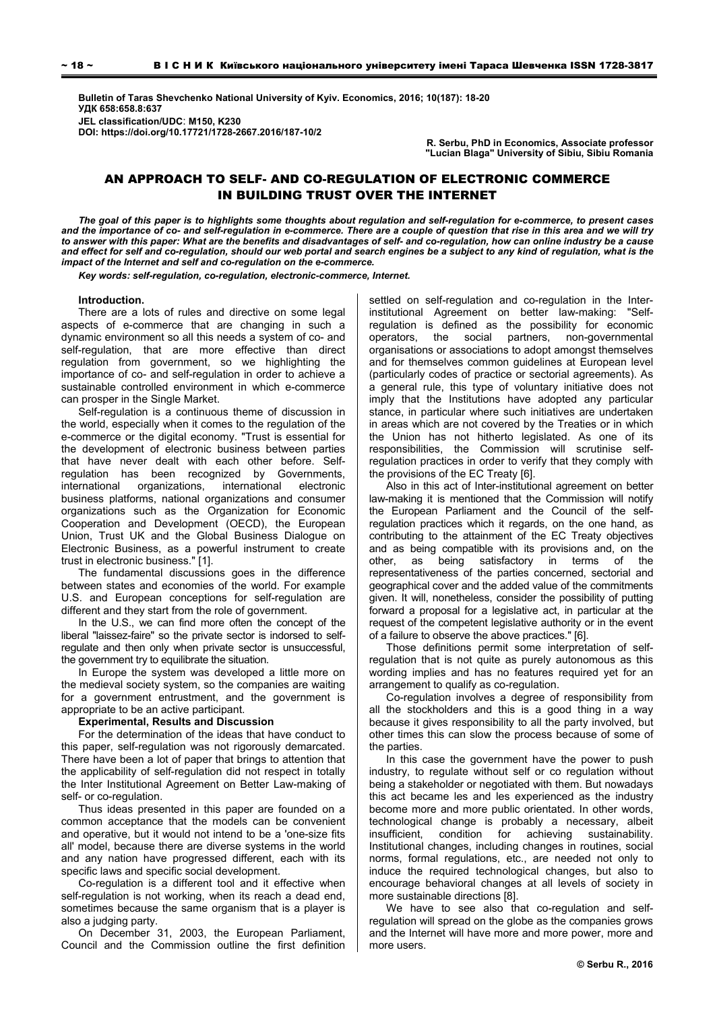**Bulletin of Taras Shevchenko National University of Kyiv. Economics, 2016; 10(187): 18-20 УДК 658:658.8:637 JEL classification/UDC**: **M150, K230 DOI: https://doi.org/10.17721/1728-2667.2016/187-10/2** 

**R. Serbu, PhD in Economics, Associate professor "Lucian Blaga" University of Sibiu, Sibiu Romania** 

# AN APPROACH TO SELF- AND CO-REGULATION OF ELECTRONIC COMMERCE IN BUILDING TRUST OVER THE INTERNET

*The goal of this paper is to highlights some thoughts about regulation and self-regulation for e-commerce, to present cases and the importance of co- and self-regulation in e-commerce. There are a couple of question that rise in this area and we will try to answer with this paper: What are the benefits and disadvantages of self- and co-regulation, how can online industry be a cause and effect for self and co-regulation, should our web portal and search engines be a subject to any kind of regulation, what is the impact of the Internet and self and co-regulation on the e-commerce.* 

*Key words: self-regulation, co-regulation, electronic-commerce, Internet.* 

### **Introduction.**

There are a lots of rules and directive on some legal aspects of e-commerce that are changing in such a dynamic environment so all this needs a system of co- and self-regulation, that are more effective than direct regulation from government, so we highlighting the importance of co- and self-regulation in order to achieve a sustainable controlled environment in which e-commerce can prosper in the Single Market.

Self-regulation is a continuous theme of discussion in the world, especially when it comes to the regulation of the e-commerce or the digital economy. "Trust is essential for the development of electronic business between parties that have never dealt with each other before. Selfregulation has been recognized by Governments, international organizations, international electronic business platforms, national organizations and consumer organizations such as the Organization for Economic Cooperation and Development (OECD), the European Union, Trust UK and the Global Business Dialogue on Electronic Business, as a powerful instrument to create trust in electronic business." [1].

The fundamental discussions goes in the difference between states and economies of the world. For example U.S. and European conceptions for self-regulation are different and they start from the role of government.

In the U.S., we can find more often the concept of the liberal "laissez-faire" so the private sector is indorsed to selfregulate and then only when private sector is unsuccessful, the government try to equilibrate the situation.

In Europe the system was developed a little more on the medieval society system, so the companies are waiting for a government entrustment, and the government is appropriate to be an active participant.

### **Experimental, Results and Discussion**

For the determination of the ideas that have conduct to this paper, self-regulation was not rigorously demarcated. There have been a lot of paper that brings to attention that the applicability of self-regulation did not respect in totally the Inter Institutional Agreement on Better Law-making of self- or co-regulation.

Thus ideas presented in this paper are founded on a common acceptance that the models can be convenient and operative, but it would not intend to be a 'one-size fits all' model, because there are diverse systems in the world and any nation have progressed different, each with its specific laws and specific social development.

Co-regulation is a different tool and it effective when self-regulation is not working, when its reach a dead end, sometimes because the same organism that is a player is also a judging party.

On December 31, 2003, the European Parliament, Council and the Commission outline the first definition settled on self-regulation and co-regulation in the Interinstitutional Agreement on better law-making: "Selfregulation is defined as the possibility for economic operators, the social partners, non-governmental organisations or associations to adopt amongst themselves and for themselves common guidelines at European level (particularly codes of practice or sectorial agreements). As a general rule, this type of voluntary initiative does not imply that the Institutions have adopted any particular stance, in particular where such initiatives are undertaken in areas which are not covered by the Treaties or in which the Union has not hitherto legislated. As one of its responsibilities, the Commission will scrutinise selfregulation practices in order to verify that they comply with the provisions of the EC Treaty [6].

Also in this act of Inter-institutional agreement on better law-making it is mentioned that the Commission will notify the European Parliament and the Council of the selfregulation practices which it regards, on the one hand, as contributing to the attainment of the EC Treaty objectives and as being compatible with its provisions and, on the other, as being satisfactory in terms of the representativeness of the parties concerned, sectorial and geographical cover and the added value of the commitments given. It will, nonetheless, consider the possibility of putting forward a proposal for a legislative act, in particular at the request of the competent legislative authority or in the event of a failure to observe the above practices." [6].

Those definitions permit some interpretation of selfregulation that is not quite as purely autonomous as this wording implies and has no features required yet for an arrangement to qualify as co-regulation.

Co-regulation involves a degree of responsibility from all the stockholders and this is a good thing in a way because it gives responsibility to all the party involved, but other times this can slow the process because of some of the parties.

In this case the government have the power to push industry, to regulate without self or co regulation without being a stakeholder or negotiated with them. But nowadays this act became les and les experienced as the industry become more and more public orientated. In other words, technological change is probably a necessary, albeit insufficient, condition for achieving sustainability. Institutional changes, including changes in routines, social norms, formal regulations, etc., are needed not only to induce the required technological changes, but also to encourage behavioral changes at all levels of society in more sustainable directions [8].

We have to see also that co-regulation and selfregulation will spread on the globe as the companies grows and the Internet will have more and more power, more and more users.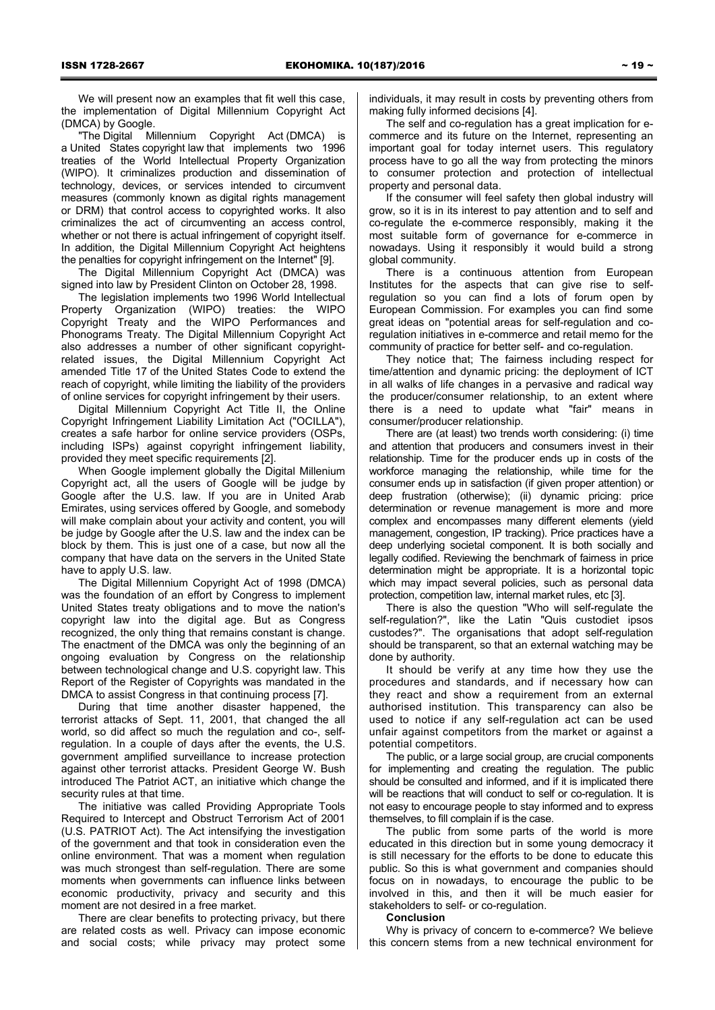We will present now an examples that fit well this case, the implementation of Digital Millennium Copyright Act (DMCA) by Google.

"The Digital Millennium Copyright Act (DMCA) is a United States copyright law that implements two 1996 treaties of the World Intellectual Property Organization (WIPO). It criminalizes production and dissemination of technology, devices, or services intended to circumvent measures (commonly known as digital rights management or DRM) that control access to copyrighted works. It also criminalizes the act of circumventing an access control, whether or not there is actual infringement of copyright itself. In addition, the Digital Millennium Copyright Act heightens the penalties for copyright infringement on the Internet" [9].

The Digital Millennium Copyright Act (DMCA) was signed into law by President Clinton on October 28, 1998.

The legislation implements two 1996 World Intellectual Property Organization (WIPO) treaties: the WIPO Copyright Treaty and the WIPO Performances and Phonograms Treaty. The Digital Millennium Copyright Act also addresses a number of other significant copyrightrelated issues, the Digital Millennium Copyright Act amended Title 17 of the United States Code to extend the reach of copyright, while limiting the liability of the providers of online services for copyright infringement by their users.

Digital Millennium Copyright Act Title II, the Online Copyright Infringement Liability Limitation Act ("OCILLA"), creates a safe harbor for online service providers (OSPs, including ISPs) against copyright infringement liability, provided they meet specific requirements [2].

When Google implement globally the Digital Millenium Copyright act, all the users of Google will be judge by Google after the U.S. law. If you are in United Arab Emirates, using services offered by Google, and somebody will make complain about your activity and content, you will be judge by Google after the U.S. law and the index can be block by them. This is just one of a case, but now all the company that have data on the servers in the United State have to apply U.S. law.

The Digital Millennium Copyright Act of 1998 (DMCA) was the foundation of an effort by Congress to implement United States treaty obligations and to move the nation's copyright law into the digital age. But as Congress recognized, the only thing that remains constant is change. The enactment of the DMCA was only the beginning of an ongoing evaluation by Congress on the relationship between technological change and U.S. copyright law. This Report of the Register of Copyrights was mandated in the DMCA to assist Congress in that continuing process [7].

During that time another disaster happened, the terrorist attacks of Sept. 11, 2001, that changed the all world, so did affect so much the regulation and co-, selfregulation. In a couple of days after the events, the U.S. government amplified surveillance to increase protection against other terrorist attacks. President George W. Bush introduced The Patriot ACT, an initiative which change the security rules at that time.

The initiative was called Providing Appropriate Tools Required to Intercept and Obstruct Terrorism Act of 2001 (U.S. PATRIOT Act). The Act intensifying the investigation of the government and that took in consideration even the online environment. That was a moment when regulation was much strongest than self-regulation. There are some moments when governments can influence links between economic productivity, privacy and security and this moment are not desired in a free market.

There are clear benefits to protecting privacy, but there are related costs as well. Privacy can impose economic and social costs; while privacy may protect some

individuals, it may result in costs by preventing others from making fully informed decisions [4].

The self and co-regulation has a great implication for ecommerce and its future on the Internet, representing an important goal for today internet users. This regulatory process have to go all the way from protecting the minors to consumer protection and protection of intellectual property and personal data.

If the consumer will feel safety then global industry will grow, so it is in its interest to pay attention and to self and co-regulate the e-commerce responsibly, making it the most suitable form of governance for e-commerce in nowadays. Using it responsibly it would build a strong global community.

There is a continuous attention from European Institutes for the aspects that can give rise to selfregulation so you can find a lots of forum open by European Commission. For examples you can find some great ideas on "potential areas for self-regulation and coregulation initiatives in e-commerce and retail memo for the community of practice for better self- and co-regulation.

They notice that; The fairness including respect for time/attention and dynamic pricing: the deployment of ICT in all walks of life changes in a pervasive and radical way the producer/consumer relationship, to an extent where there is a need to update what "fair" means in consumer/producer relationship.

There are (at least) two trends worth considering: (i) time and attention that producers and consumers invest in their relationship. Time for the producer ends up in costs of the workforce managing the relationship, while time for the consumer ends up in satisfaction (if given proper attention) or deep frustration (otherwise); (ii) dynamic pricing: price determination or revenue management is more and more complex and encompasses many different elements (yield management, congestion, IP tracking). Price practices have a deep underlying societal component. It is both socially and legally codified. Reviewing the benchmark of fairness in price determination might be appropriate. It is a horizontal topic which may impact several policies, such as personal data protection, competition law, internal market rules, etc [3].

There is also the question "Who will self-regulate the self-regulation?", like the Latin "Quis custodiet ipsos custodes?". The organisations that adopt self-regulation should be transparent, so that an external watching may be done by authority.

It should be verify at any time how they use the procedures and standards, and if necessary how can they react and show a requirement from an external authorised institution. This transparency can also be used to notice if any self-regulation act can be used unfair against competitors from the market or against a potential competitors.

The public, or a large social group, are crucial components for implementing and creating the regulation. The public should be consulted and informed, and if it is implicated there will be reactions that will conduct to self or co-regulation. It is not easy to encourage people to stay informed and to express themselves, to fill complain if is the case.

The public from some parts of the world is more educated in this direction but in some young democracy it is still necessary for the efforts to be done to educate this public. So this is what government and companies should focus on in nowadays, to encourage the public to be involved in this, and then it will be much easier for stakeholders to self- or co-regulation.

### **Conclusion**

Why is privacy of concern to e-commerce? We believe this concern stems from a new technical environment for